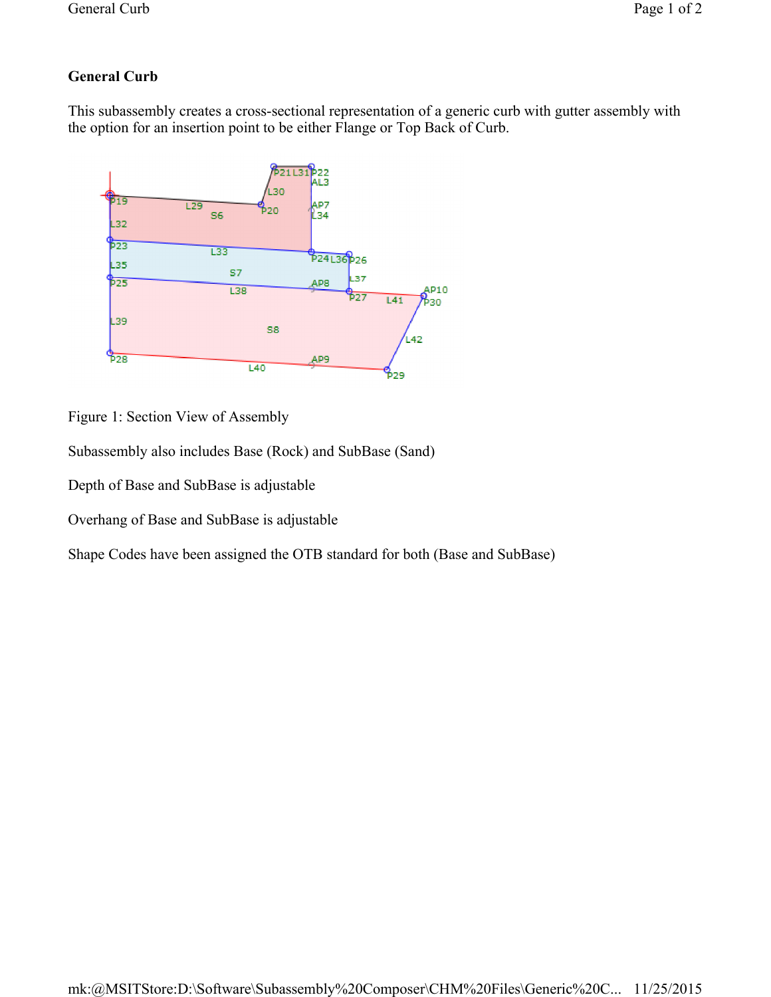## **General Curb**

This subassembly creates a cross-sectional representation of a generic curb with gutter assembly with the option for an insertion point to be either Flange or Top Back of Curb.



Figure 1: Section View of Assembly

Subassembly also includes Base (Rock) and SubBase (Sand)

Depth of Base and SubBase is adjustable

Overhang of Base and SubBase is adjustable

Shape Codes have been assigned the OTB standard for both (Base and SubBase)